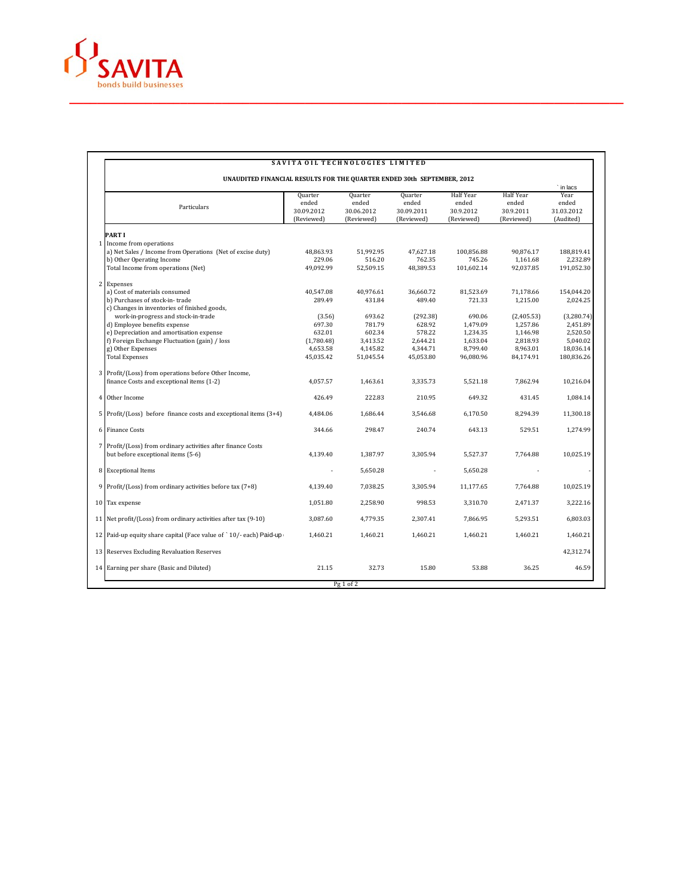

|                                                                                                    |                                              |                                              |                                              |                                                      |                                                      | in lacs                                  |
|----------------------------------------------------------------------------------------------------|----------------------------------------------|----------------------------------------------|----------------------------------------------|------------------------------------------------------|------------------------------------------------------|------------------------------------------|
| Particulars                                                                                        | Quarter<br>ended<br>30.09.2012<br>(Reviewed) | Quarter<br>ended<br>30.06.2012<br>(Reviewed) | Quarter<br>ended<br>30.09.2011<br>(Reviewed) | <b>Half Year</b><br>ended<br>30.9.2012<br>(Reviewed) | <b>Half Year</b><br>ended<br>30.9.2011<br>(Reviewed) | Year<br>ended<br>31.03.2012<br>(Audited) |
| PART I                                                                                             |                                              |                                              |                                              |                                                      |                                                      |                                          |
| 1 Income from operations                                                                           |                                              |                                              |                                              |                                                      |                                                      |                                          |
| a) Net Sales / Income from Operations (Net of excise duty)                                         | 48,863.93                                    | 51,992.95                                    | 47,627.18                                    | 100,856.88                                           | 90,876.17                                            | 188,819.41                               |
| b) Other Operating Income                                                                          | 229.06                                       | 516.20                                       | 762.35                                       | 745.26                                               | 1,161.68                                             | 2,232.89                                 |
| Total Income from operations (Net)                                                                 | 49,092.99                                    | 52,509.15                                    | 48,389.53                                    | 101,602.14                                           | 92,037.85                                            | 191,052.30                               |
| 2 Expenses                                                                                         |                                              |                                              |                                              |                                                      |                                                      |                                          |
| a) Cost of materials consumed                                                                      | 40,547.08                                    | 40.976.61                                    | 36,660.72                                    | 81,523.69                                            | 71,178.66                                            | 154,044.20                               |
| b) Purchases of stock-in-trade                                                                     | 289.49                                       | 431.84                                       | 489.40                                       | 721.33                                               | 1,215.00                                             | 2,024.25                                 |
| c) Changes in inventories of finished goods,                                                       |                                              |                                              |                                              |                                                      |                                                      |                                          |
| work-in-progress and stock-in-trade                                                                | (3.56)                                       | 693.62                                       | (292.38)                                     | 690.06                                               | (2,405.53)                                           | (3,280.74)                               |
| d) Employee benefits expense                                                                       | 697.30                                       | 781.79                                       | 628.92                                       | 1,479.09                                             | 1,257.86                                             | 2,451.89                                 |
| e) Depreciation and amortisation expense                                                           | 632.01                                       | 602.34                                       | 578.22                                       | 1,234.35                                             | 1,146.98                                             | 2,520.50                                 |
| f) Foreign Exchange Fluctuation (gain) / loss                                                      | (1,780.48)                                   | 3,413.52                                     | 2.644.21                                     | 1,633.04                                             | 2,818.93                                             | 5,040.02                                 |
| g) Other Expenses                                                                                  | 4,653.58                                     | 4,145.82                                     | 4,344.71                                     | 8,799.40                                             | 8,963.01                                             | 18,036.14                                |
| <b>Total Expenses</b>                                                                              | 45,035.42                                    | 51,045.54                                    | 45,053.80                                    | 96,080.96                                            | 84,174.91                                            | 180,836.26                               |
| 3 Profit/(Loss) from operations before Other Income,                                               |                                              |                                              |                                              |                                                      |                                                      |                                          |
| finance Costs and exceptional items (1-2)                                                          | 4,057.57                                     | 1,463.61                                     | 3,335.73                                     | 5.521.18                                             | 7,862.94                                             | 10,216.04                                |
| 4 Other Income                                                                                     | 426.49                                       | 222.83                                       | 210.95                                       | 649.32                                               | 431.45                                               | 1,084.14                                 |
| $5$ Profit/(Loss) before finance costs and exceptional items (3+4)                                 | 4,484.06                                     | 1,686.44                                     | 3,546.68                                     | 6,170.50                                             | 8,294.39                                             | 11,300.18                                |
| 6 Finance Costs                                                                                    | 344.66                                       | 298.47                                       | 240.74                                       | 643.13                                               | 529.51                                               | 1,274.99                                 |
| 7 Profit/(Loss) from ordinary activities after finance Costs<br>but before exceptional items (5-6) | 4,139.40                                     | 1,387.97                                     | 3,305.94                                     | 5,527.37                                             | 7,764.88                                             | 10,025.19                                |
| 8 Exceptional Items                                                                                |                                              | 5,650.28                                     |                                              | 5,650.28                                             |                                                      |                                          |
| 9 Profit/(Loss) from ordinary activities before tax $(7+8)$                                        | 4,139.40                                     | 7,038.25                                     | 3,305.94                                     | 11,177.65                                            | 7,764.88                                             | 10,025.19                                |
| 10 Tax expense                                                                                     | 1,051.80                                     | 2,258.90                                     | 998.53                                       | 3,310.70                                             | 2,471.37                                             | 3,222.16                                 |
| 11 Net profit/(Loss) from ordinary activities after tax (9-10)                                     | 3,087.60                                     | 4,779.35                                     | 2,307.41                                     | 7.866.95                                             | 5,293.51                                             | 6,803.03                                 |
| 12 Paid-up equity share capital (Face value of `10/-each) Paid-up                                  | 1.460.21                                     | 1.460.21                                     | 1.460.21                                     | 1,460.21                                             | 1,460.21                                             | 1,460.21                                 |
| 13 Reserves Excluding Revaluation Reserves                                                         |                                              |                                              |                                              |                                                      |                                                      | 42,312.74                                |
| 14 Earning per share (Basic and Diluted)                                                           | 21.15                                        | 32.73                                        | 15.80                                        | 53.88                                                | 36.25                                                | 46.59                                    |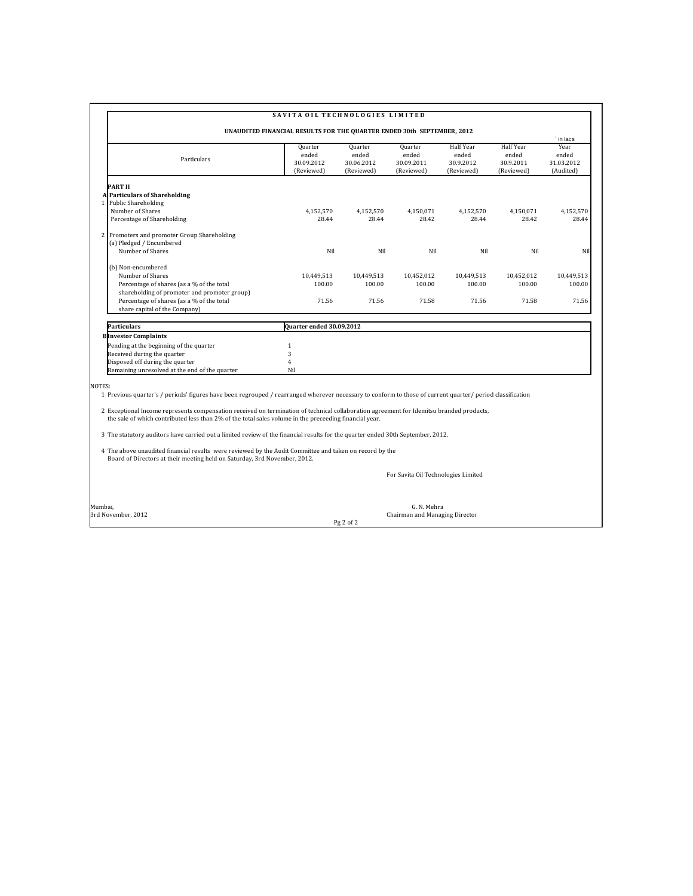|                                                                                                                                                                                      | UNAUDITED FINANCIAL RESULTS FOR THE QUARTER ENDED 30th SEPTEMBER, 2012 |                                              |                                              |                                                      |                                                      | in lacs                                  |
|--------------------------------------------------------------------------------------------------------------------------------------------------------------------------------------|------------------------------------------------------------------------|----------------------------------------------|----------------------------------------------|------------------------------------------------------|------------------------------------------------------|------------------------------------------|
| Particulars                                                                                                                                                                          | Quarter<br>ended<br>30.09.2012<br>(Reviewed)                           | Quarter<br>ended<br>30.06.2012<br>(Reviewed) | Quarter<br>ended<br>30.09.2011<br>(Reviewed) | <b>Half Year</b><br>ended<br>30.9.2012<br>(Reviewed) | <b>Half Year</b><br>ended<br>30.9.2011<br>(Reviewed) | Year<br>ended<br>31.03.2012<br>(Audited) |
| PART II                                                                                                                                                                              |                                                                        |                                              |                                              |                                                      |                                                      |                                          |
| <b>Particulars of Shareholding</b><br>Public Shareholding<br>1 I                                                                                                                     |                                                                        |                                              |                                              |                                                      |                                                      |                                          |
| Number of Shares                                                                                                                                                                     | 4.152.570                                                              | 4.152.570                                    | 4.150.071                                    | 4.152.570                                            | 4.150.071                                            | 4.152.570                                |
| Percentage of Shareholding                                                                                                                                                           | 28.44                                                                  | 28.44                                        | 28.42                                        | 28.44                                                | 28.42                                                | 28.44                                    |
| 2 Promoters and promoter Group Shareholding<br>(a) Pledged / Encumbered                                                                                                              |                                                                        |                                              |                                              |                                                      |                                                      |                                          |
| Number of Shares                                                                                                                                                                     | Nil                                                                    | Nil                                          | Nil                                          | Nil                                                  | Nil                                                  | Nil                                      |
| (b) Non-encumbered                                                                                                                                                                   |                                                                        |                                              |                                              |                                                      |                                                      |                                          |
| Number of Shares                                                                                                                                                                     | 10,449,513                                                             | 10,449,513                                   | 10,452,012                                   | 10,449,513                                           | 10,452,012                                           | 10.449.513                               |
| Percentage of shares (as a % of the total                                                                                                                                            | 100.00                                                                 | 100.00                                       | 100.00                                       | 100.00                                               | 100.00                                               | 100.00                                   |
| shareholding of promoter and promoter group)                                                                                                                                         |                                                                        |                                              |                                              |                                                      |                                                      |                                          |
| Percentage of shares (as a % of the total                                                                                                                                            | 71.56                                                                  | 71.56                                        | 71.58                                        | 71.56                                                | 71.58                                                | 71.56                                    |
| share capital of the Company)                                                                                                                                                        |                                                                        |                                              |                                              |                                                      |                                                      |                                          |
| Particulars                                                                                                                                                                          | Quarter ended 30.09.2012                                               |                                              |                                              |                                                      |                                                      |                                          |
| <b>Blinvestor Complaints</b>                                                                                                                                                         |                                                                        |                                              |                                              |                                                      |                                                      |                                          |
| Pending at the beginning of the quarter                                                                                                                                              | $\mathbf{1}$                                                           |                                              |                                              |                                                      |                                                      |                                          |
| Received during the quarter                                                                                                                                                          | 3                                                                      |                                              |                                              |                                                      |                                                      |                                          |
| Disposed off during the quarter                                                                                                                                                      | $\overline{4}$                                                         |                                              |                                              |                                                      |                                                      |                                          |
| Remaining unresolved at the end of the quarter                                                                                                                                       | Nil                                                                    |                                              |                                              |                                                      |                                                      |                                          |
|                                                                                                                                                                                      |                                                                        |                                              |                                              |                                                      |                                                      |                                          |
| NOTES:                                                                                                                                                                               |                                                                        |                                              |                                              |                                                      |                                                      |                                          |
| 1 Previous quarter's / periods' figures have been regrouped / rearranged wherever necessary to conform to those of current quarter/ period classification                            |                                                                        |                                              |                                              |                                                      |                                                      |                                          |
| 2 Exceptional Income represents compensation received on termination of technical collaboration agreement for Idemitsu branded products,                                             |                                                                        |                                              |                                              |                                                      |                                                      |                                          |
| the sale of which contributed less than 2% of the total sales volume in the preceeding financial year.                                                                               |                                                                        |                                              |                                              |                                                      |                                                      |                                          |
| 3 The statutory auditors have carried out a limited review of the financial results for the quarter ended 30th September, 2012.                                                      |                                                                        |                                              |                                              |                                                      |                                                      |                                          |
| 4 The above unaudited financial results were reviewed by the Audit Committee and taken on record by the<br>Board of Directors at their meeting held on Saturday, 3rd November, 2012. |                                                                        |                                              |                                              |                                                      |                                                      |                                          |
|                                                                                                                                                                                      |                                                                        |                                              |                                              |                                                      |                                                      |                                          |
|                                                                                                                                                                                      |                                                                        |                                              | For Savita Oil Technologies Limited          |                                                      |                                                      |                                          |

Pg 2 of 2

Mumbai, G. N. Mehra 3rd November, 2012 Chairman and Managing Director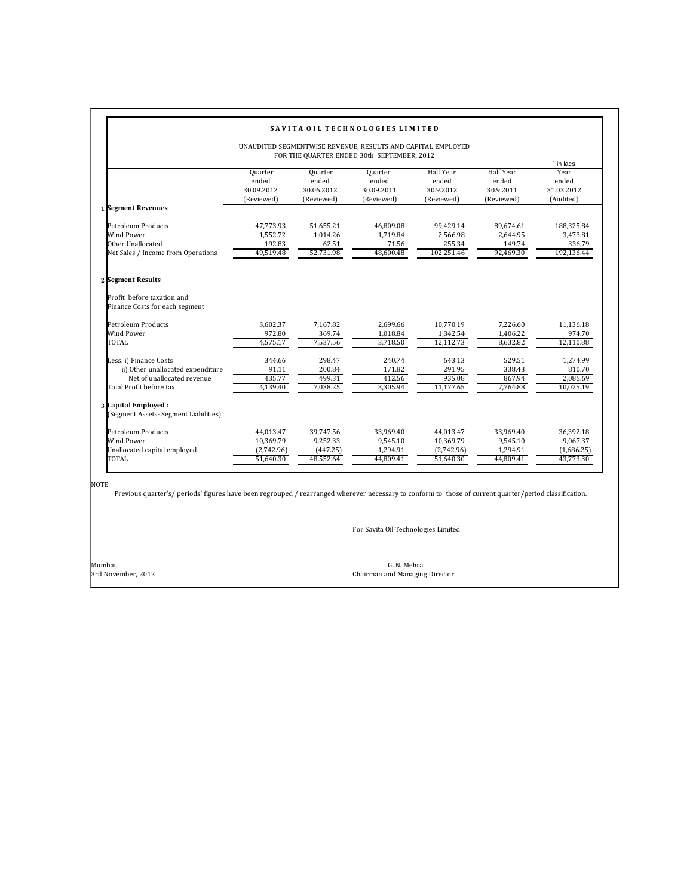| UNAUDITED SEGMENTWISE REVENUE, RESULTS AND CAPITAL EMPLOYED<br>FOR THE QUARTER ENDED 30th SEPTEMBER, 2012            |                                                   |                                                |                                                |                                                      |                                                      |                                                       |
|----------------------------------------------------------------------------------------------------------------------|---------------------------------------------------|------------------------------------------------|------------------------------------------------|------------------------------------------------------|------------------------------------------------------|-------------------------------------------------------|
|                                                                                                                      | Quarter<br>ended<br>30.09.2012<br>(Reviewed)      | Quarter<br>ended<br>30.06.2012<br>(Reviewed)   | Quarter<br>ended<br>30.09.2011<br>(Reviewed)   | <b>Half Year</b><br>ended<br>30.9.2012<br>(Reviewed) | <b>Half Year</b><br>ended<br>30.9.2011<br>(Reviewed) | ` in lacs<br>Year<br>ended<br>31.03.2012<br>(Audited) |
| 1 Segment Revenues                                                                                                   |                                                   |                                                |                                                |                                                      |                                                      |                                                       |
| Petroleum Products<br>Wind Power<br>Other Unallocated<br>Net Sales / Income from Operations                          | 47,773.93<br>1,552.72<br>192.83<br>49.519.48      | 51,655.21<br>1.014.26<br>62.51<br>52,731.98    | 46.809.08<br>1.719.84<br>71.56<br>48.600.48    | 99.429.14<br>2.566.98<br>255.34<br>102,251.46        | 89.674.61<br>2,644.95<br>149.74<br>92.469.30         | 188,325.84<br>3,473.81<br>336.79<br>192,136.44        |
| 2 Segment Results                                                                                                    |                                                   |                                                |                                                |                                                      |                                                      |                                                       |
| Profit before taxation and<br>Finance Costs for each segment                                                         |                                                   |                                                |                                                |                                                      |                                                      |                                                       |
| Petroleum Products<br>Wind Power<br>TOTAL                                                                            | 3,602.37<br>972.80<br>4.575.17                    | 7.167.82<br>369.74<br>7.537.56                 | 2.699.66<br>1,018.84<br>3.718.50               | 10.770.19<br>1,342.54<br>12.112.73                   | 7.226.60<br>1,406.22<br>8.632.82                     | 11.136.18<br>974.70<br>12,110.88                      |
| Less: i) Finance Costs<br>ii) Other unallocated expenditure<br>Net of unallocated revenue<br>Total Profit before tax | 344.66<br>91.11<br>435.77<br>4,139.40             | 298.47<br>200.84<br>499.31<br>7,038.25         | 240.74<br>171.82<br>412.56<br>3.305.94         | 643.13<br>291.95<br>935.08<br>11,177.65              | 529.51<br>338.43<br>867.94<br>7,764.88               | 1.274.99<br>810.70<br>2.085.69<br>10,025.19           |
| 3 Capital Employed :<br>(Segment Assets- Segment Liabilities)                                                        |                                                   |                                                |                                                |                                                      |                                                      |                                                       |
| Petroleum Products<br>Wind Power<br>Unallocated capital employed<br>TOTAL                                            | 44,013.47<br>10,369.79<br>(2,742.96)<br>51,640.30 | 39,747.56<br>9,252.33<br>(447.25)<br>48,552.64 | 33,969.40<br>9,545.10<br>1,294.91<br>44,809.41 | 44,013.47<br>10,369.79<br>(2,742.96)<br>51,640.30    | 33,969.40<br>9,545.10<br>1,294.91<br>44.809.41       | 36,392.18<br>9,067.37<br>(1,686.25)<br>43,773.30      |

NOTE:

Previous quarter's/ periods' figures have been regrouped / rearranged wherever necessary to conform to those of current quarter/period classification.

For Savita Oil Technologies Limited

Mumbai, G. N. Mehra Chairman and Managing Director